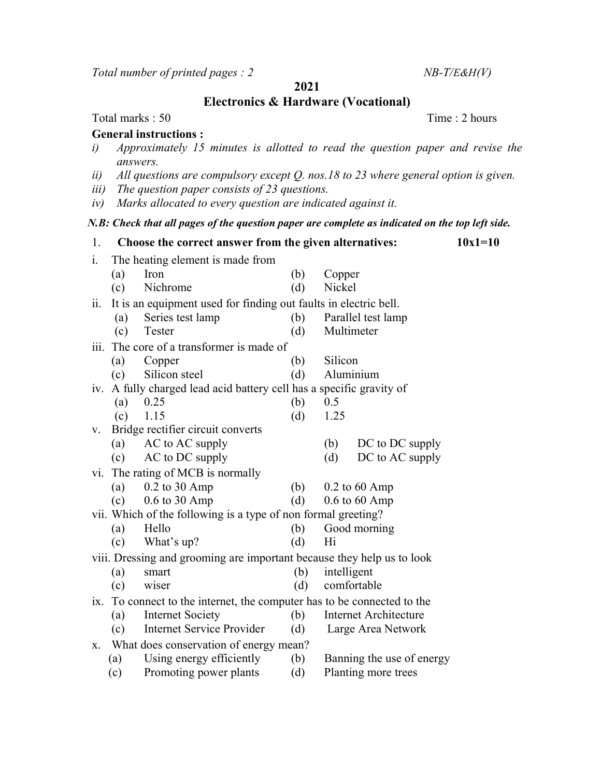Total number of printed pages :  $2$  NB-T/E&H(V)

2021

Electronics & Hardware (Vocational)

## Total marks : 50 Time : 2 hours

## General instructions :

- i) Approximately 15 minutes is allotted to read the question paper and revise the answers.
- ii) All questions are compulsory except Q. nos.18 to 23 where general option is given.
- iii) The question paper consists of 23 questions.
- iv) Marks allocated to every question are indicated against it.

## N.B: Check that all pages of the question paper are complete as indicated on the top left side.

| 1.                                                                     |                                                                         | Choose the correct answer from the given alternatives:               |     |                              | $10x1=10$ |  |
|------------------------------------------------------------------------|-------------------------------------------------------------------------|----------------------------------------------------------------------|-----|------------------------------|-----------|--|
| i.                                                                     | The heating element is made from                                        |                                                                      |     |                              |           |  |
|                                                                        | (a)                                                                     | Iron                                                                 | (b) | Copper                       |           |  |
|                                                                        | (c)                                                                     | Nichrome                                                             | (d) | Nickel                       |           |  |
| 11.                                                                    |                                                                         | It is an equipment used for finding out faults in electric bell.     |     |                              |           |  |
|                                                                        | (a)                                                                     | Series test lamp                                                     | (b) | Parallel test lamp           |           |  |
|                                                                        | (c)                                                                     | Tester                                                               | (d) | Multimeter                   |           |  |
|                                                                        |                                                                         | iii. The core of a transformer is made of                            |     |                              |           |  |
|                                                                        | (a)                                                                     | Copper                                                               | (b) | Silicon                      |           |  |
|                                                                        | (c)                                                                     | Silicon steel                                                        | (d) | Aluminium                    |           |  |
|                                                                        |                                                                         | iv. A fully charged lead acid battery cell has a specific gravity of |     |                              |           |  |
|                                                                        | (a)                                                                     | 0.25                                                                 | (b) | 0.5                          |           |  |
|                                                                        | (c)                                                                     | 1.15                                                                 | (d) | 1.25                         |           |  |
| V.                                                                     |                                                                         | Bridge rectifier circuit converts                                    |     |                              |           |  |
|                                                                        | (a)                                                                     | AC to AC supply                                                      |     | (b)<br>DC to DC supply       |           |  |
|                                                                        | (c)                                                                     | AC to DC supply                                                      |     | DC to AC supply<br>(d)       |           |  |
| V1.                                                                    |                                                                         | The rating of MCB is normally                                        |     |                              |           |  |
|                                                                        | (a)                                                                     | 0.2 to 30 Amp                                                        | (b) | $0.2$ to 60 Amp              |           |  |
|                                                                        | (c)                                                                     | $0.6$ to $30$ Amp                                                    | (d) | $0.6$ to $60$ Amp            |           |  |
|                                                                        | vii. Which of the following is a type of non formal greeting?           |                                                                      |     |                              |           |  |
|                                                                        | (a)                                                                     | Hello                                                                | (b) | Good morning                 |           |  |
|                                                                        | (c)                                                                     | What's up?                                                           | (d) | Hi                           |           |  |
| viii. Dressing and grooming are important because they help us to look |                                                                         |                                                                      |     |                              |           |  |
|                                                                        | (a)                                                                     | smart                                                                | (b) | intelligent                  |           |  |
|                                                                        | (c)                                                                     | wiser                                                                | (d) | comfortable                  |           |  |
|                                                                        | ix. To connect to the internet, the computer has to be connected to the |                                                                      |     |                              |           |  |
|                                                                        | (a)                                                                     | <b>Internet Society</b>                                              | (b) | <b>Internet Architecture</b> |           |  |
|                                                                        | (c)                                                                     | <b>Internet Service Provider</b>                                     | (d) | Large Area Network           |           |  |
| Х.                                                                     | What does conservation of energy mean?                                  |                                                                      |     |                              |           |  |
|                                                                        | (a)                                                                     | Using energy efficiently                                             | (b) | Banning the use of energy    |           |  |
|                                                                        | (c)                                                                     | Promoting power plants                                               | (d) | Planting more trees          |           |  |
|                                                                        |                                                                         |                                                                      |     |                              |           |  |